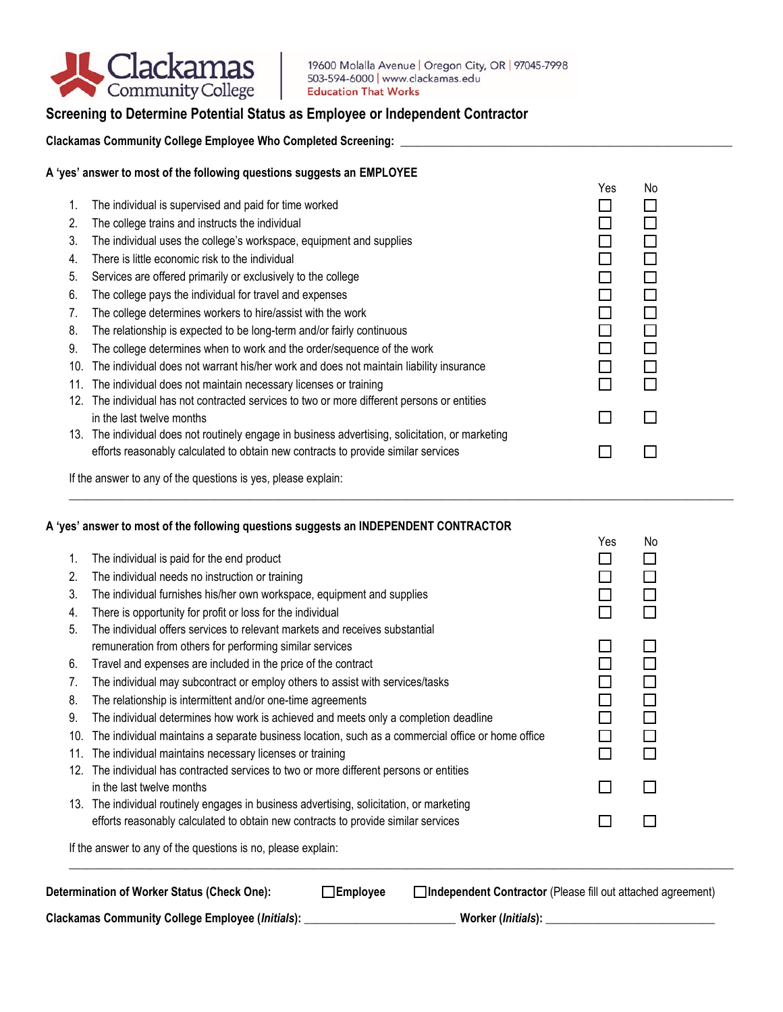

# **Screening to Determine Potential Status as Employee or Independent Contractor**

**Clackamas Community College Employee Who Completed Screening: \_\_\_\_\_\_\_\_\_\_\_\_\_\_\_\_\_\_\_\_\_\_\_\_\_\_\_\_\_\_\_\_\_\_\_\_\_\_\_\_\_\_\_\_\_\_\_\_\_\_\_\_\_\_\_\_\_**

## **A 'yes' answer to most of the following questions suggests an EMPLOYEE**

|     |                                                                                                  | Yes | No |
|-----|--------------------------------------------------------------------------------------------------|-----|----|
| 1.  | The individual is supervised and paid for time worked                                            |     |    |
| 2.  | The college trains and instructs the individual                                                  |     |    |
| 3.  | The individual uses the college's workspace, equipment and supplies                              |     |    |
| 4.  | There is little economic risk to the individual                                                  |     |    |
| 5.  | Services are offered primarily or exclusively to the college                                     |     |    |
| 6.  | The college pays the individual for travel and expenses                                          |     |    |
| 7.  | The college determines workers to hire/assist with the work                                      |     |    |
| 8.  | The relationship is expected to be long-term and/or fairly continuous                            |     |    |
| 9.  | The college determines when to work and the order/sequence of the work                           |     |    |
| 10. | The individual does not warrant his/her work and does not maintain liability insurance           |     |    |
| 11. | The individual does not maintain necessary licenses or training                                  |     |    |
| 12. | The individual has not contracted services to two or more different persons or entities          |     |    |
|     | in the last twelve months                                                                        |     |    |
|     | 13. The individual does not routinely engage in business advertising, solicitation, or marketing |     |    |
|     | efforts reasonably calculated to obtain new contracts to provide similar services                |     |    |
|     |                                                                                                  |     |    |

If the answer to any of the questions is yes, please explain:

### **A 'yes' answer to most of the following questions suggests an INDEPENDENT CONTRACTOR**

|     |                                                                                                   | Yes | No     |  |  |  |
|-----|---------------------------------------------------------------------------------------------------|-----|--------|--|--|--|
| 1.  | The individual is paid for the end product                                                        |     |        |  |  |  |
| 2.  | The individual needs no instruction or training                                                   |     |        |  |  |  |
| 3.  | The individual furnishes his/her own workspace, equipment and supplies                            |     |        |  |  |  |
| 4.  | There is opportunity for profit or loss for the individual                                        |     |        |  |  |  |
| 5.  | The individual offers services to relevant markets and receives substantial                       |     |        |  |  |  |
|     | remuneration from others for performing similar services                                          |     |        |  |  |  |
| 6.  | Travel and expenses are included in the price of the contract                                     |     |        |  |  |  |
| 7.  | The individual may subcontract or employ others to assist with services/tasks                     |     |        |  |  |  |
| 8.  | The relationship is intermittent and/or one-time agreements                                       |     | $\Box$ |  |  |  |
| 9.  | The individual determines how work is achieved and meets only a completion deadline               |     | ΙI     |  |  |  |
| 10. | The individual maintains a separate business location, such as a commercial office or home office |     |        |  |  |  |
| 11. | The individual maintains necessary licenses or training                                           |     |        |  |  |  |
| 12. | The individual has contracted services to two or more different persons or entities               |     |        |  |  |  |
|     | in the last twelve months                                                                         |     |        |  |  |  |
|     | 13. The individual routinely engages in business advertising, solicitation, or marketing          |     |        |  |  |  |
|     | efforts reasonably calculated to obtain new contracts to provide similar services                 |     |        |  |  |  |
|     | If the answer to any of the questions is no, please explain:                                      |     |        |  |  |  |

\_\_\_\_\_\_\_\_\_\_\_\_\_\_\_\_\_\_\_\_\_\_\_\_\_\_\_\_\_\_\_\_\_\_\_\_\_\_\_\_\_\_\_\_\_\_\_\_\_\_\_\_\_\_\_\_\_\_\_\_\_\_\_\_\_\_\_\_\_\_\_\_\_\_\_\_\_\_\_\_\_\_\_\_\_\_\_\_\_\_\_\_\_\_\_\_\_\_\_\_\_\_\_\_\_\_\_\_\_\_\_\_\_\_

| Determination of Worker Status (Check One):      | $\Box$ Employee | <b>]Independent Contractor</b> (Please fill out attached agreement) |
|--------------------------------------------------|-----------------|---------------------------------------------------------------------|
| Clackamas Community College Employee (Initials): |                 | Worker (Initials):                                                  |

 $\Box$  . The contribution of the contribution of the contribution of the contribution of the contribution of the contribution of the contribution of the contribution of the contribution of the contribution of the contributi